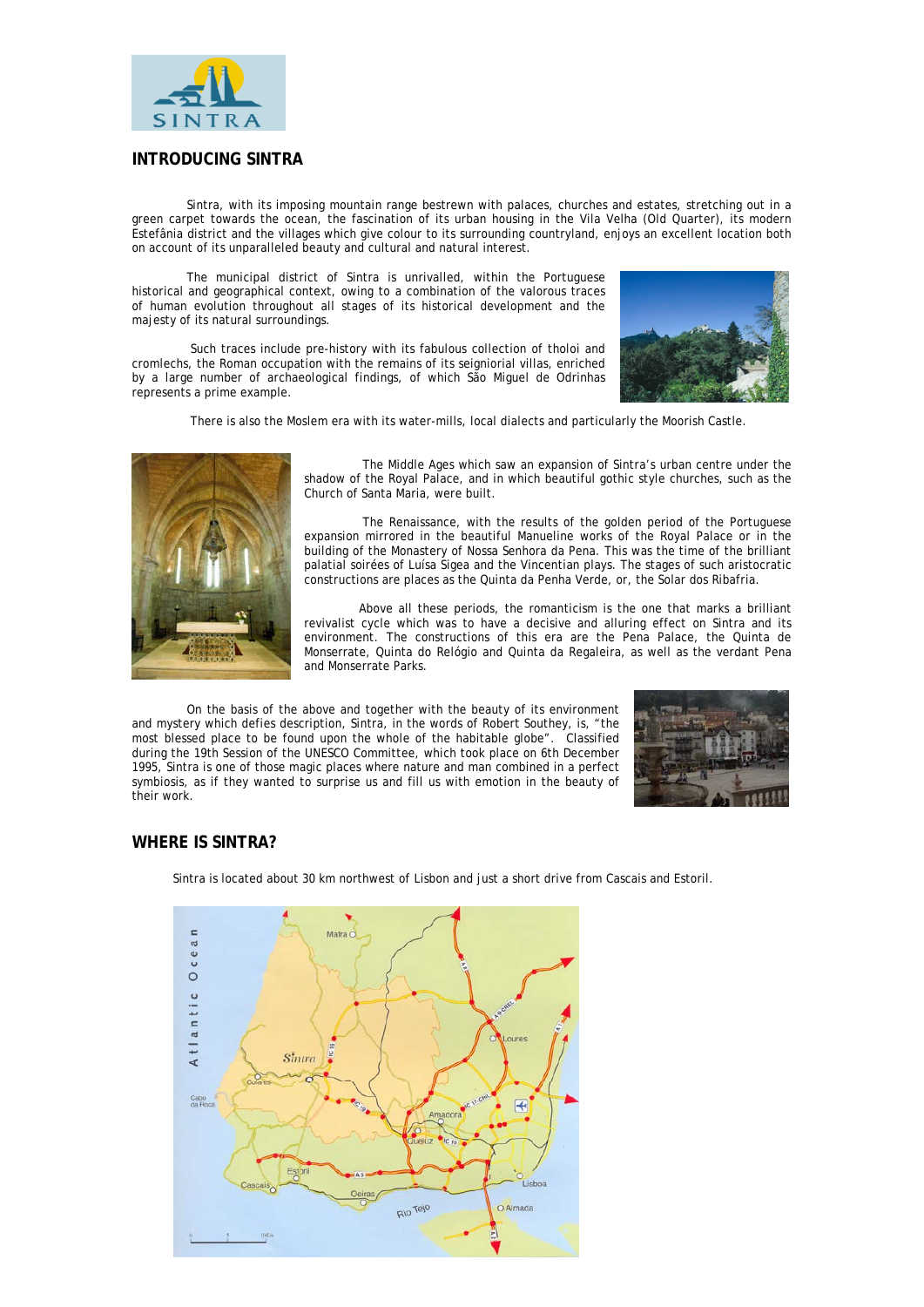

## **INTRODUCING SINTRA**

Sintra, with its imposing mountain range bestrewn with palaces, churches and estates, stretching out in a green carpet towards the ocean, the fascination of its urban housing in the Vila Velha (Old Quarter), its modern Estefânia district and the villages which give colour to its surrounding countryland, enjoys an excellent location both on account of its unparalleled beauty and cultural and natural interest.

The municipal district of Sintra is unrivalled, within the Portuguese historical and geographical context, owing to a combination of the valorous traces of human evolution throughout all stages of its historical development and the majesty of its natural surroundings.

 Such traces include pre-history with its fabulous collection of tholoi and cromlechs, the Roman occupation with the remains of its seigniorial villas, enriched by a large number of archaeological findings, of which São Miguel de Odrinhas represents a prime example.



There is also the Moslem era with its water-mills, local dialects and particularly the Moorish Castle.



 The Middle Ages which saw an expansion of Sintra's urban centre under the shadow of the Royal Palace, and in which beautiful gothic style churches, such as the Church of Santa Maria, were built.

 The Renaissance, with the results of the golden period of the Portuguese expansion mirrored in the beautiful Manueline works of the Royal Palace or in the building of the Monastery of Nossa Senhora da Pena. This was the time of the brilliant palatial soirées of Luísa Sigea and the Vincentian plays. The stages of such aristocratic constructions are places as the Quinta da Penha Verde, or, the Solar dos Ribafria.

Above all these periods, the romanticism is the one that marks a brilliant revivalist cycle which was to have a decisive and alluring effect on Sintra and its environment. The constructions of this era are the Pena Palace, the Quinta de Monserrate, Quinta do Relógio and Quinta da Regaleira, as well as the verdant Pena and Monserrate Parks.

On the basis of the above and together with the beauty of its environment and mystery which defies description, Sintra, in the words of Robert Southey, is, "the most blessed place to be found upon the whole of the habitable globe". Classified during the 19th Session of the UNESCO Committee, which took place on 6th December 1995, Sintra is one of those magic places where nature and man combined in a perfect symbiosis, as if they wanted to surprise us and fill us with emotion in the beauty of their work.



# **WHERE IS SINTRA?**

Sintra is located about 30 km northwest of Lisbon and just a short drive from Cascais and Estoril.